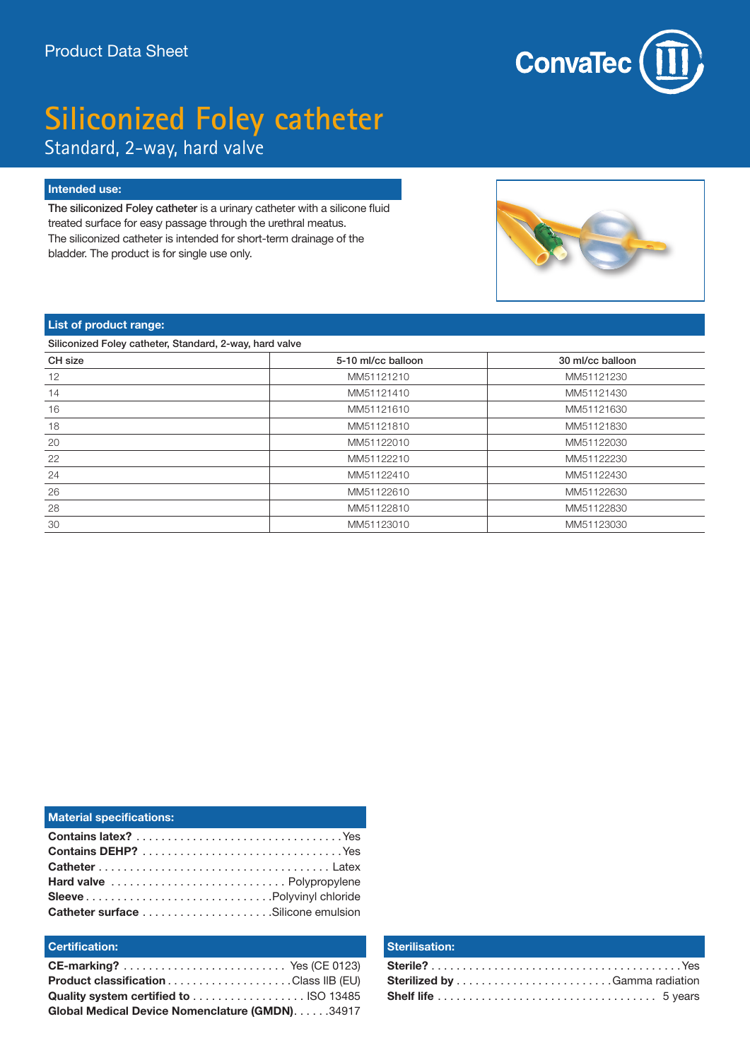

## **Siliconized Foley catheter** Standard, 2-way, hard valve

#### **Intended use:**

The siliconized Foley catheter is a urinary catheter with a silicone fluid treated surface for easy passage through the urethral meatus. The siliconized catheter is intended for short-term drainage of the bladder. The product is for single use only.



#### **List of product range:**

Siliconized Foley catheter, Standard, 2-way, hard valve

| CH size | 5-10 ml/cc balloon | 30 ml/cc balloon |
|---------|--------------------|------------------|
| 12      | MM51121210         | MM51121230       |
| 14      | MM51121410         | MM51121430       |
| 16      | MM51121610         | MM51121630       |
| 18      | MM51121810         | MM51121830       |
| 20      | MM51122010         | MM51122030       |
| 22      | MM51122210         | MM51122230       |
| 24      | MM51122410         | MM51122430       |
| 26      | MM51122610         | MM51122630       |
| 28      | MM51122810         | MM51122830       |
| 30      | MM51123010         | MM51123030       |

| <b>Material specifications:</b> |
|---------------------------------|
|                                 |
|                                 |
|                                 |
| Hard valve  Polypropylene       |
|                                 |
|                                 |

### **Certification:**

| Global Medical Device Nomenclature (GMDN). 34917 |  |
|--------------------------------------------------|--|

#### **Sterilisation:**